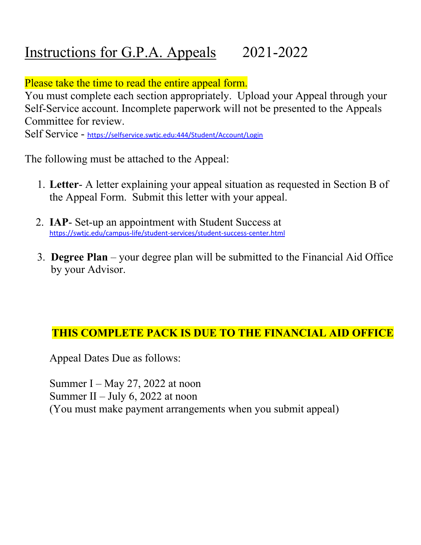# Instructions for G.P.A. Appeals 2021-2022

Please take the time to read the entire appeal form.

You must complete each section appropriately. Upload your Appeal through your Self-Service account. Incomplete paperwork will not be presented to the Appeals Committee for review.

Self Service - https://selfservice.swtjc.edu:444/Student/Account/Login

The following must be attached to the Appeal:

- 1. **Letter** A letter explaining your appeal situation as requested in Section B of the Appeal Form. Submit this letter with your appeal.
- 2. **IAP** Set-up an appointment with Student Success at https://swtjc.edu/campus-life/student-services/student-success-center.html
- 3. **Degree Plan** your degree plan will be submitted to the Financial Aid Office by your Advisor.

### **THIS COMPLETE PACK IS DUE TO THE FINANCIAL AID OFFICE**

Appeal Dates Due as follows:

Summer I – May 27, 2022 at noon Summer II – July 6, 2022 at noon (You must make payment arrangements when you submit appeal)